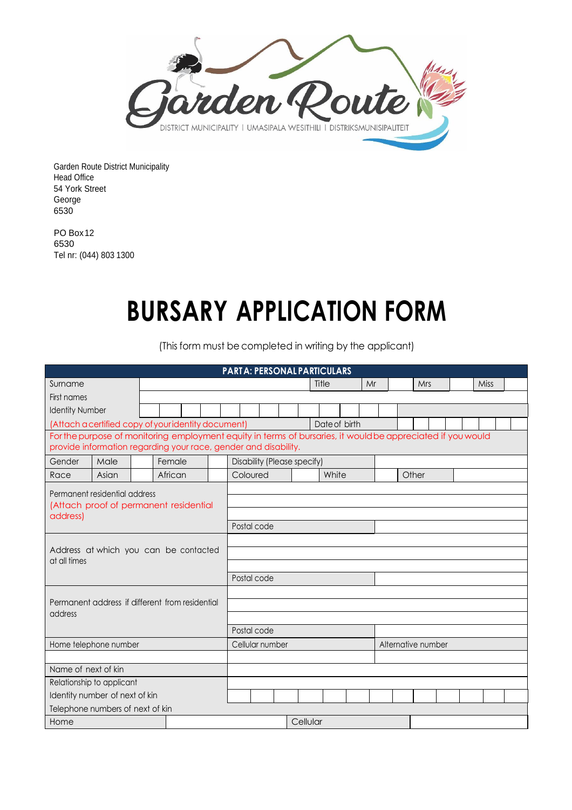

Garden Route District Municipality Head Office 54 York Street George 6530

PO Box12 6530 Tel nr: (044) 803 1300

## **BURSARY APPLICATION FORM**

(This form must be completed in writing by the applicant)

| <b>PARTA: PERSONAL PARTICULARS</b>                                                                          |       |  |         |             |                 |                             |          |  |  |       |                    |    |  |  |       |  |      |  |  |  |
|-------------------------------------------------------------------------------------------------------------|-------|--|---------|-------------|-----------------|-----------------------------|----------|--|--|-------|--------------------|----|--|--|-------|--|------|--|--|--|
| Surname                                                                                                     |       |  |         |             |                 |                             |          |  |  | Title |                    | Mr |  |  | Mrs   |  | Miss |  |  |  |
| First names                                                                                                 |       |  |         |             |                 |                             |          |  |  |       |                    |    |  |  |       |  |      |  |  |  |
| <b>Identity Number</b>                                                                                      |       |  |         |             |                 |                             |          |  |  |       |                    |    |  |  |       |  |      |  |  |  |
| (Attach a certified copy of youridentity document)                                                          |       |  |         |             |                 |                             |          |  |  |       | Date of birth      |    |  |  |       |  |      |  |  |  |
| For the purpose of monitoring employment equity in terms of bursaries, it would be appreciated if you would |       |  |         |             |                 |                             |          |  |  |       |                    |    |  |  |       |  |      |  |  |  |
| provide information regarding your race, gender and disability.                                             |       |  |         |             |                 |                             |          |  |  |       |                    |    |  |  |       |  |      |  |  |  |
| Gender                                                                                                      | Male  |  | Female  |             |                 | Disability (Please specify) |          |  |  |       |                    |    |  |  |       |  |      |  |  |  |
| Race                                                                                                        | Asian |  | African |             |                 |                             | Coloured |  |  |       | White              |    |  |  | Other |  |      |  |  |  |
| Permanent residential address<br>(Attach proof of permanent residential<br>address)                         |       |  |         |             |                 |                             |          |  |  |       |                    |    |  |  |       |  |      |  |  |  |
|                                                                                                             |       |  |         |             |                 |                             |          |  |  |       |                    |    |  |  |       |  |      |  |  |  |
|                                                                                                             |       |  |         |             |                 |                             |          |  |  |       |                    |    |  |  |       |  |      |  |  |  |
|                                                                                                             |       |  |         | Postal code |                 |                             |          |  |  |       |                    |    |  |  |       |  |      |  |  |  |
|                                                                                                             |       |  |         |             |                 |                             |          |  |  |       |                    |    |  |  |       |  |      |  |  |  |
| Address at which you can be contacted<br>at all times                                                       |       |  |         |             |                 |                             |          |  |  |       |                    |    |  |  |       |  |      |  |  |  |
|                                                                                                             |       |  |         |             |                 |                             |          |  |  |       |                    |    |  |  |       |  |      |  |  |  |
|                                                                                                             |       |  |         |             |                 | Postal code                 |          |  |  |       |                    |    |  |  |       |  |      |  |  |  |
|                                                                                                             |       |  |         |             |                 |                             |          |  |  |       |                    |    |  |  |       |  |      |  |  |  |
| Permanent address if different from residential<br>address                                                  |       |  |         |             |                 |                             |          |  |  |       |                    |    |  |  |       |  |      |  |  |  |
|                                                                                                             |       |  |         |             |                 |                             |          |  |  |       |                    |    |  |  |       |  |      |  |  |  |
|                                                                                                             |       |  |         |             |                 | Postal code                 |          |  |  |       |                    |    |  |  |       |  |      |  |  |  |
| Home telephone number                                                                                       |       |  |         |             | Cellular number |                             |          |  |  |       | Alternative number |    |  |  |       |  |      |  |  |  |
|                                                                                                             |       |  |         |             |                 |                             |          |  |  |       |                    |    |  |  |       |  |      |  |  |  |
| Name of next of kin                                                                                         |       |  |         |             |                 |                             |          |  |  |       |                    |    |  |  |       |  |      |  |  |  |
| Relationship to applicant                                                                                   |       |  |         |             |                 |                             |          |  |  |       |                    |    |  |  |       |  |      |  |  |  |
| Identity number of next of kin                                                                              |       |  |         |             |                 |                             |          |  |  |       |                    |    |  |  |       |  |      |  |  |  |
| Telephone numbers of next of kin                                                                            |       |  |         |             |                 |                             |          |  |  |       |                    |    |  |  |       |  |      |  |  |  |
| Cellular<br>Home                                                                                            |       |  |         |             |                 |                             |          |  |  |       |                    |    |  |  |       |  |      |  |  |  |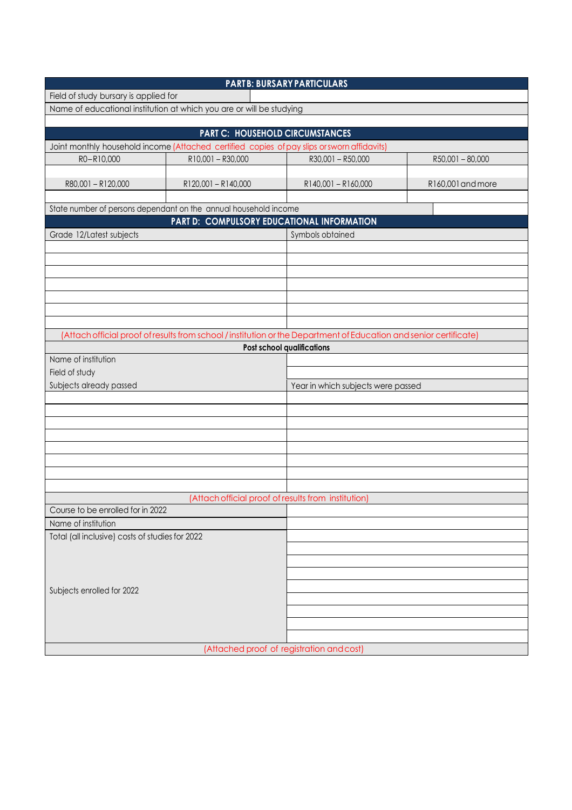| <b>PARTB: BURSARY PARTICULARS</b>                                                                                                     |                   |                                                                                                                                                  |                                    |  |  |  |  |  |  |  |
|---------------------------------------------------------------------------------------------------------------------------------------|-------------------|--------------------------------------------------------------------------------------------------------------------------------------------------|------------------------------------|--|--|--|--|--|--|--|
| Field of study bursary is applied for                                                                                                 |                   |                                                                                                                                                  |                                    |  |  |  |  |  |  |  |
| Name of educational institution at which you are or will be studying                                                                  |                   |                                                                                                                                                  |                                    |  |  |  |  |  |  |  |
|                                                                                                                                       |                   |                                                                                                                                                  |                                    |  |  |  |  |  |  |  |
| <b>PART C: HOUSEHOLD CIRCUMSTANCES</b><br>Joint monthly household income (Attached certified copies of pay slips or sworn affidavits) |                   |                                                                                                                                                  |                                    |  |  |  |  |  |  |  |
|                                                                                                                                       |                   |                                                                                                                                                  |                                    |  |  |  |  |  |  |  |
| R0-R10,000                                                                                                                            | R10,001 - R30,000 | R30,001 - R50,000                                                                                                                                | R50,001-80,000                     |  |  |  |  |  |  |  |
| R80,001-R120,000                                                                                                                      | R120,001-R140,000 | R140,001-R160,000                                                                                                                                | R160,001 and more                  |  |  |  |  |  |  |  |
|                                                                                                                                       |                   |                                                                                                                                                  |                                    |  |  |  |  |  |  |  |
| State number of persons dependant on the annual household income                                                                      |                   |                                                                                                                                                  |                                    |  |  |  |  |  |  |  |
| PART D: COMPULSORY EDUCATIONAL INFORMATION                                                                                            |                   |                                                                                                                                                  |                                    |  |  |  |  |  |  |  |
| Grade 12/Latest subjects                                                                                                              |                   | Symbols obtained                                                                                                                                 |                                    |  |  |  |  |  |  |  |
|                                                                                                                                       |                   |                                                                                                                                                  |                                    |  |  |  |  |  |  |  |
|                                                                                                                                       |                   |                                                                                                                                                  |                                    |  |  |  |  |  |  |  |
|                                                                                                                                       |                   |                                                                                                                                                  |                                    |  |  |  |  |  |  |  |
|                                                                                                                                       |                   |                                                                                                                                                  |                                    |  |  |  |  |  |  |  |
|                                                                                                                                       |                   |                                                                                                                                                  |                                    |  |  |  |  |  |  |  |
|                                                                                                                                       |                   |                                                                                                                                                  |                                    |  |  |  |  |  |  |  |
|                                                                                                                                       |                   |                                                                                                                                                  |                                    |  |  |  |  |  |  |  |
|                                                                                                                                       |                   | (Attach official proof of results from school / institution or the Department of Education and senior certificate)<br>Post school qualifications |                                    |  |  |  |  |  |  |  |
| Name of institution                                                                                                                   |                   |                                                                                                                                                  |                                    |  |  |  |  |  |  |  |
| Field of study                                                                                                                        |                   |                                                                                                                                                  |                                    |  |  |  |  |  |  |  |
| Subjects already passed                                                                                                               |                   |                                                                                                                                                  | Year in which subjects were passed |  |  |  |  |  |  |  |
|                                                                                                                                       |                   |                                                                                                                                                  |                                    |  |  |  |  |  |  |  |
|                                                                                                                                       |                   |                                                                                                                                                  |                                    |  |  |  |  |  |  |  |
|                                                                                                                                       |                   |                                                                                                                                                  |                                    |  |  |  |  |  |  |  |
|                                                                                                                                       |                   |                                                                                                                                                  |                                    |  |  |  |  |  |  |  |
|                                                                                                                                       |                   |                                                                                                                                                  |                                    |  |  |  |  |  |  |  |
|                                                                                                                                       |                   |                                                                                                                                                  |                                    |  |  |  |  |  |  |  |
|                                                                                                                                       |                   |                                                                                                                                                  |                                    |  |  |  |  |  |  |  |
|                                                                                                                                       |                   |                                                                                                                                                  |                                    |  |  |  |  |  |  |  |
| (Attach official proof of results from institution)                                                                                   |                   |                                                                                                                                                  |                                    |  |  |  |  |  |  |  |
| Course to be enrolled for in 2022                                                                                                     |                   |                                                                                                                                                  |                                    |  |  |  |  |  |  |  |
| Name of institution<br>Total (all inclusive) costs of studies for 2022                                                                |                   |                                                                                                                                                  |                                    |  |  |  |  |  |  |  |
|                                                                                                                                       |                   |                                                                                                                                                  |                                    |  |  |  |  |  |  |  |
|                                                                                                                                       |                   |                                                                                                                                                  |                                    |  |  |  |  |  |  |  |
|                                                                                                                                       |                   |                                                                                                                                                  |                                    |  |  |  |  |  |  |  |
|                                                                                                                                       |                   |                                                                                                                                                  |                                    |  |  |  |  |  |  |  |
| Subjects enrolled for 2022                                                                                                            |                   |                                                                                                                                                  |                                    |  |  |  |  |  |  |  |
|                                                                                                                                       |                   |                                                                                                                                                  |                                    |  |  |  |  |  |  |  |
|                                                                                                                                       |                   |                                                                                                                                                  |                                    |  |  |  |  |  |  |  |
|                                                                                                                                       |                   |                                                                                                                                                  |                                    |  |  |  |  |  |  |  |
| (Attached proof of registration and cost)                                                                                             |                   |                                                                                                                                                  |                                    |  |  |  |  |  |  |  |